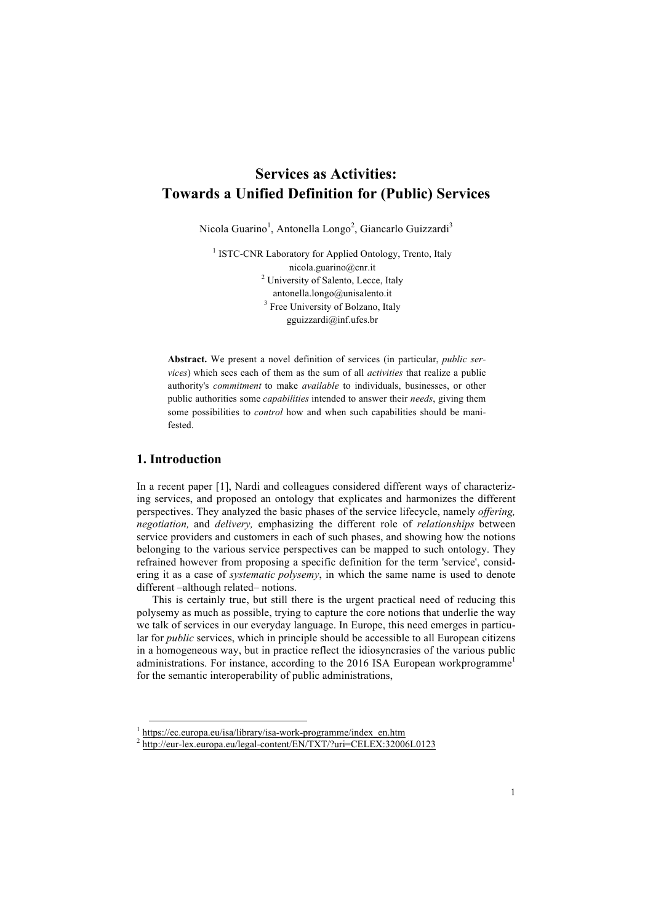# **Services as Activities: Towards a Unified Definition for (Public) Services**

Nicola Guarino<sup>1</sup>, Antonella Longo<sup>2</sup>, Giancarlo Guizzardi<sup>3</sup>

<sup>1</sup> ISTC-CNR Laboratory for Applied Ontology, Trento, Italy nicola.guarino@cnr.it <sup>2</sup> University of Salento, Lecce, Italy antonella.longo@unisalento.it <sup>3</sup> Free University of Bolzano, Italy gguizzardi@inf.ufes.br

**Abstract.** We present a novel definition of services (in particular, *public services*) which sees each of them as the sum of all *activities* that realize a public authority's *commitment* to make *available* to individuals, businesses, or other public authorities some *capabilities* intended to answer their *needs*, giving them some possibilities to *control* how and when such capabilities should be manifested.

## **1. Introduction**

In a recent paper [1], Nardi and colleagues considered different ways of characterizing services, and proposed an ontology that explicates and harmonizes the different perspectives. They analyzed the basic phases of the service lifecycle, namely *offering, negotiation,* and *delivery,* emphasizing the different role of *relationships* between service providers and customers in each of such phases, and showing how the notions belonging to the various service perspectives can be mapped to such ontology. They refrained however from proposing a specific definition for the term 'service', considering it as a case of *systematic polysemy*, in which the same name is used to denote different –although related– notions.

This is certainly true, but still there is the urgent practical need of reducing this polysemy as much as possible, trying to capture the core notions that underlie the way we talk of services in our everyday language. In Europe, this need emerges in particular for *public* services, which in principle should be accessible to all European citizens in a homogeneous way, but in practice reflect the idiosyncrasies of the various public administrations. For instance, according to the 2016 ISA European workprogramme<sup>1</sup> for the semantic interoperability of public administrations,

<sup>&</sup>lt;sup>1</sup> https://ec.europa.eu/isa/library/isa-work-programme/index\_en.htm

 $\frac{2 \text{ http://eur-lex.europa.eu/legal-content/EN/TXT/?uri=CELEX:32006L0123}}{$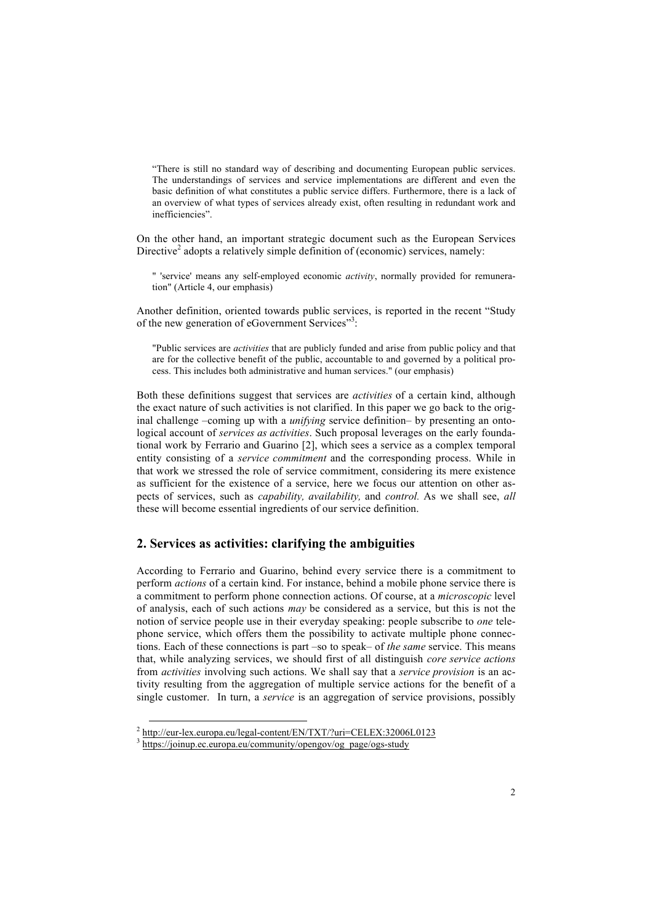"There is still no standard way of describing and documenting European public services. The understandings of services and service implementations are different and even the basic definition of what constitutes a public service differs. Furthermore, there is a lack of an overview of what types of services already exist, often resulting in redundant work and inefficiencies".

On the other hand, an important strategic document such as the European Services Directive<sup>2</sup> adopts a relatively simple definition of (economic) services, namely:

" 'service' means any self-employed economic *activity*, normally provided for remuneration" (Article 4, our emphasis)

Another definition, oriented towards public services, is reported in the recent "Study of the new generation of eGovernment Services"<sup>3</sup>:

"Public services are *activities* that are publicly funded and arise from public policy and that are for the collective benefit of the public, accountable to and governed by a political process. This includes both administrative and human services." (our emphasis)

Both these definitions suggest that services are *activities* of a certain kind, although the exact nature of such activities is not clarified. In this paper we go back to the original challenge –coming up with a *unifying* service definition– by presenting an ontological account of *services as activities*. Such proposal leverages on the early foundational work by Ferrario and Guarino [2], which sees a service as a complex temporal entity consisting of a *service commitment* and the corresponding process. While in that work we stressed the role of service commitment, considering its mere existence as sufficient for the existence of a service, here we focus our attention on other aspects of services, such as *capability, availability,* and *control.* As we shall see, *all* these will become essential ingredients of our service definition.

#### **2. Services as activities: clarifying the ambiguities**

According to Ferrario and Guarino, behind every service there is a commitment to perform *actions* of a certain kind. For instance, behind a mobile phone service there is a commitment to perform phone connection actions. Of course, at a *microscopic* level of analysis, each of such actions *may* be considered as a service, but this is not the notion of service people use in their everyday speaking: people subscribe to *one* telephone service, which offers them the possibility to activate multiple phone connections. Each of these connections is part –so to speak– of *the same* service. This means that, while analyzing services, we should first of all distinguish *core service actions* from *activities* involving such actions. We shall say that a *service provision* is an activity resulting from the aggregation of multiple service actions for the benefit of a single customer. In turn, a *service* is an aggregation of service provisions, possibly

 <sup>2</sup> http://eur-lex.europa.eu/legal-content/EN/TXT/?uri=CELEX:32006L0123

<sup>3</sup> https://joinup.ec.europa.eu/community/opengov/og\_page/ogs-study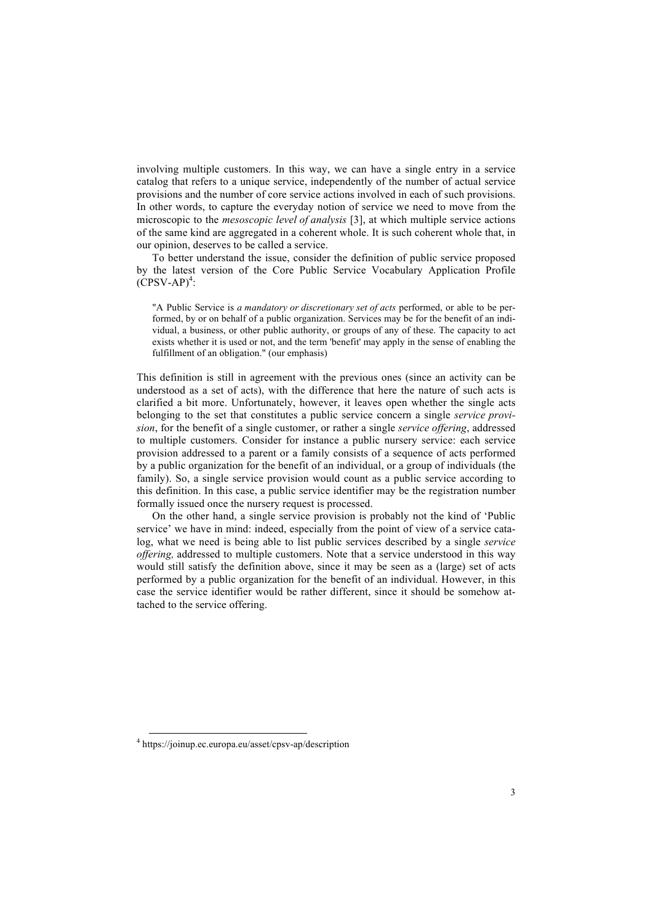involving multiple customers. In this way, we can have a single entry in a service catalog that refers to a unique service, independently of the number of actual service provisions and the number of core service actions involved in each of such provisions. In other words, to capture the everyday notion of service we need to move from the microscopic to the *mesoscopic level of analysis* [3], at which multiple service actions of the same kind are aggregated in a coherent whole. It is such coherent whole that, in our opinion, deserves to be called a service.

To better understand the issue, consider the definition of public service proposed by the latest version of the Core Public Service Vocabulary Application Profile  $(CPSV-AP)^4$ :

"A Public Service is *a mandatory or discretionary set of acts* performed, or able to be performed, by or on behalf of a public organization. Services may be for the benefit of an individual, a business, or other public authority, or groups of any of these. The capacity to act exists whether it is used or not, and the term 'benefit' may apply in the sense of enabling the fulfillment of an obligation." (our emphasis)

This definition is still in agreement with the previous ones (since an activity can be understood as a set of acts), with the difference that here the nature of such acts is clarified a bit more. Unfortunately, however, it leaves open whether the single acts belonging to the set that constitutes a public service concern a single *service provision*, for the benefit of a single customer, or rather a single *service offering*, addressed to multiple customers. Consider for instance a public nursery service: each service provision addressed to a parent or a family consists of a sequence of acts performed by a public organization for the benefit of an individual, or a group of individuals (the family). So, a single service provision would count as a public service according to this definition. In this case, a public service identifier may be the registration number formally issued once the nursery request is processed.

On the other hand, a single service provision is probably not the kind of 'Public service' we have in mind: indeed, especially from the point of view of a service catalog, what we need is being able to list public services described by a single *service offering,* addressed to multiple customers. Note that a service understood in this way would still satisfy the definition above, since it may be seen as a (large) set of acts performed by a public organization for the benefit of an individual. However, in this case the service identifier would be rather different, since it should be somehow attached to the service offering.

 <sup>4</sup> https://joinup.ec.europa.eu/asset/cpsv-ap/description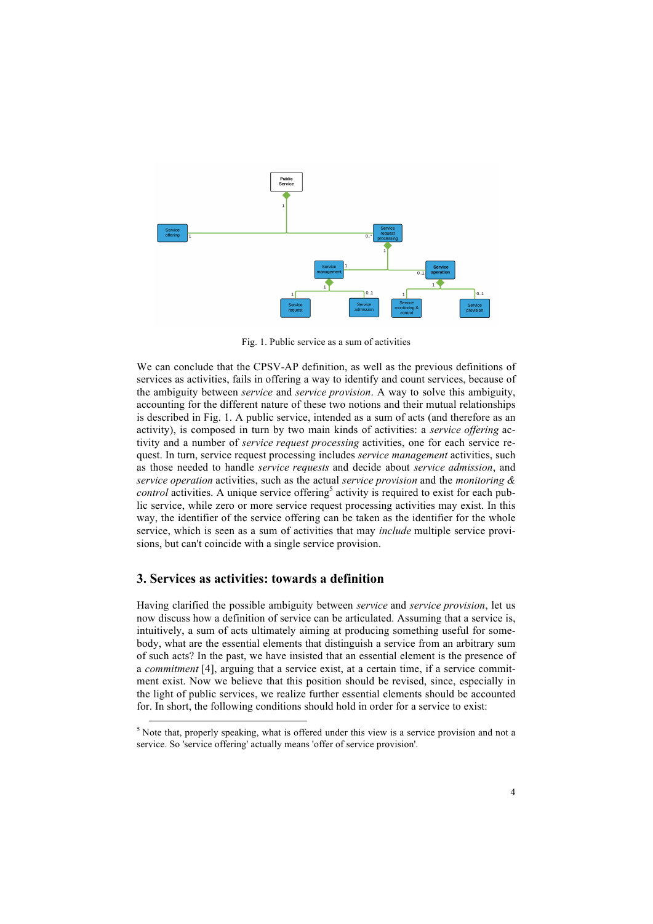

Fig. 1. Public service as a sum of activities

We can conclude that the CPSV-AP definition, as well as the previous definitions of services as activities, fails in offering a way to identify and count services, because of the ambiguity between *service* and *service provision*. A way to solve this ambiguity, accounting for the different nature of these two notions and their mutual relationships is described in Fig. 1. A public service, intended as a sum of acts (and therefore as an activity), is composed in turn by two main kinds of activities: a *service offering* activity and a number of *service request processing* activities, one for each service request. In turn, service request processing includes *service management* activities, such as those needed to handle *service requests* and decide about *service admission*, and *service operation* activities, such as the actual *service provision* and the *monitoring & control* activities. A unique service offering<sup>5</sup> activity is required to exist for each public service, while zero or more service request processing activities may exist. In this way, the identifier of the service offering can be taken as the identifier for the whole service, which is seen as a sum of activities that may *include* multiple service provisions, but can't coincide with a single service provision.

#### **3. Services as activities: towards a definition**

Having clarified the possible ambiguity between *service* and *service provision*, let us now discuss how a definition of service can be articulated. Assuming that a service is, intuitively, a sum of acts ultimately aiming at producing something useful for somebody, what are the essential elements that distinguish a service from an arbitrary sum of such acts? In the past, we have insisted that an essential element is the presence of a *commitment* [4], arguing that a service exist, at a certain time, if a service commitment exist. Now we believe that this position should be revised, since, especially in the light of public services, we realize further essential elements should be accounted for. In short, the following conditions should hold in order for a service to exist:

<sup>&</sup>lt;sup>5</sup> Note that, properly speaking, what is offered under this view is a service provision and not a service. So 'service offering' actually means 'offer of service provision'.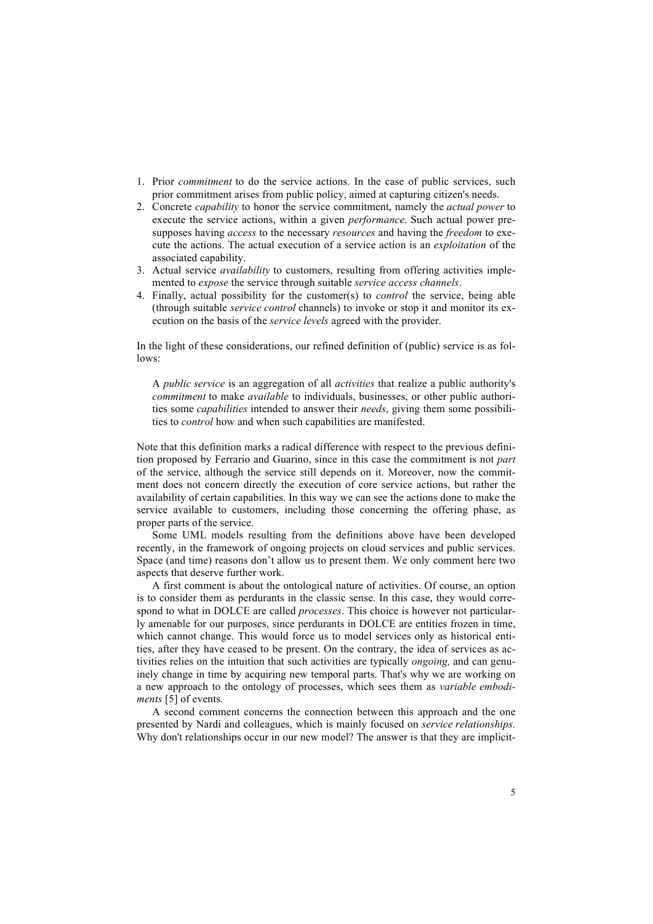- 1. Prior *commitment* to do the service actions. In the case of public services, such prior commitment arises from public policy, aimed at capturing citizen's needs.
- 2. Concrete *capability* to honor the service commitment, namely the *actual power* to execute the service actions, within a given *performance*. Such actual power presupposes having *access* to the necessary *resources* and having the *freedom* to execute the actions. The actual execution of a service action is an *exploitation* of the associated capability.
- 3. Actual service *availability* to customers, resulting from offering activities implemented to *expose* the service through suitable *service access channels*.
- 4. Finally, actual possibility for the customer(s) to *control* the service, being able (through suitable *service control* channels) to invoke or stop it and monitor its execution on the basis of the *service levels* agreed with the provider.

In the light of these considerations, our refined definition of (public) service is as follows:

A *public service* is an aggregation of all *activities* that realize a public authority's *commitment* to make *available* to individuals, businesses, or other public authorities some *capabilities* intended to answer their *needs*, giving them some possibilities to *control* how and when such capabilities are manifested.

Note that this definition marks a radical difference with respect to the previous definition proposed by Ferrario and Guarino, since in this case the commitment is not *part* of the service, although the service still depends on it. Moreover, now the commitment does not concern directly the execution of core service actions, but rather the availability of certain capabilities. In this way we can see the actions done to make the service available to customers, including those concerning the offering phase, as proper parts of the service.

Some UML models resulting from the definitions above have been developed recently, in the framework of ongoing projects on cloud services and public services. Space (and time) reasons don't allow us to present them. We only comment here two aspects that deserve further work.

A first comment is about the ontological nature of activities. Of course, an option is to consider them as perdurants in the classic sense. In this case, they would correspond to what in DOLCE are called *processes*. This choice is however not particularly amenable for our purposes, since perdurants in DOLCE are entities frozen in time, which cannot change. This would force us to model services only as historical entities, after they have ceased to be present. On the contrary, the idea of services as activities relies on the intuition that such activities are typically *ongoing,* and can genuinely change in time by acquiring new temporal parts. That's why we are working on a new approach to the ontology of processes, which sees them as *variable embodiments* [5] of events.

A second comment concerns the connection between this approach and the one presented by Nardi and colleagues, which is mainly focused on *service relationships.* Why don't relationships occur in our new model? The answer is that they are implicit